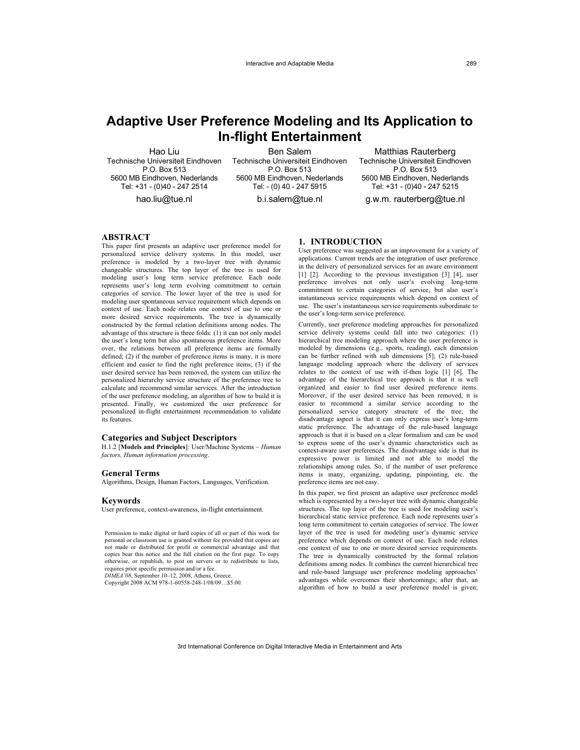# **Adaptive User Preference Modeling and Its Application to In-flight Entertainment**

Hao Liu Technische Universiteit Eindhoven P.O. Box 513 5600 MB Eindhoven, Nederlands Tel: +31 - (0)40 - 247 2514

hao.liu@tue.nl

Ben Salem Technische Universiteit Eindhoven P.O. Box 513 5600 MB Eindhoven, Nederlands Tel: - (0) 40 - 247 5915

b.i.salem@tue.nl

Matthias Rauterberg Technische Universiteit Eindhoven P.O. Box 513 5600 MB Eindhoven, Nederlands Tel: +31 - (0)40 - 247 5215

g.w.m. rauterberg@tue.nl

## **ABSTRACT**

This paper first presents an adaptive user preference model for personalized service delivery systems. In this model, user preference is modeled by a two-layer tree with dynamic changeable structures. The top layer of the tree is used for modeling user's long term service preference. Each node represents user's long term evolving commitment to certain categories of service. The lower layer of the tree is used for modeling user spontaneous service requirement which depends on context of use. Each node relates one context of use to one or more desired service requirements. The tree is dynamically constructed by the formal relation definitions among nodes. The advantage of this structure is three folds: (1) it can not only model the user's long term but also spontaneous preference items. More over, the relations between all preference items are formally defined; (2) if the number of preference items is many, it is more efficient and easier to find the right preference items; (3) if the user desired service has been removed, the system can utilize the personalized hierarchy service structure of the preference tree to calculate and recommend similar services. After the introduction of the user preference modeling, an algorithm of how to build it is presented. Finally, we customized the user preference for personalized in-flight entertainment recommendation to validate its features.

#### **Categories and Subject Descriptors**

H.1.2 [**Models and Principles**]: User/Machine Systems – *Human factors, Human information processing*.

#### **General Terms**

Algorithms, Design, Human Factors, Languages, Verification.

#### **Keywords**

User preference, context-awareness, in-flight entertainment.

Permission to make digital or hard copies of all or part of this work for personal or classroom use is granted without fee provided that copies are not made or distributed for profit or commercial advantage and that copies bear this notice and the full citation on the first page. To copy otherwise, or republish, to post on servers or to redistribute to lists, requires prior specific permission and/or a fee. *DIMEA'08*, September 10–12, 2008, Athens, Greece.

Copyright 2008 ACM 978-1-60558-248-1/08/09…\$5.00.

## **1. INTRODUCTION**

User preference was suggested as an improvement for a variety of applications. Current trends are the integration of user preference in the delivery of personalized services for an aware environment [1] [2]. According to the previous investigation [3] [4], user preference involves not only user's evolving long-term commitment to certain categories of service, but also user's instantaneous service requirements which depend on context of use. The user's instantaneous service requirements subordinate to the user's long-term service preference.

Currently, user preference modeling approaches for personalized service delivery systems could fall into two categories: (1) hierarchical tree modeling approach where the user preference is modeled by dimensions (e.g., sports, reading), each dimension can be further refined with sub dimensions [5]; (2) rule-based language modeling approach where the delivery of services relates to the context of use with if-then logic [1] [6]. The advantage of the hierarchical tree approach is that it is well organized and easier to find user desired preference items. Moreover, if the user desired service has been removed, it is easier to recommend a similar service according to the personalized service category structure of the tree; the disadvantage aspect is that it can only express user's long-term static preference. The advantage of the rule-based language approach is that it is based on a clear formalism and can be used to express some of the user's dynamic characteristics such as context-aware user preferences. The disadvantage side is that its expressive power is limited and not able to model the relationships among rules. So, if the number of user preference items is many, organizing, updating, pinpointing, etc. the preference items are not easy.

In this paper, we first present an adaptive user preference model which is represented by a two-layer tree with dynamic changeable structures. The top layer of the tree is used for modeling user's hierarchical static service preference. Each node represents user's long term commitment to certain categories of service. The lower layer of the tree is used for modeling user's dynamic service preference which depends on context of use. Each node relates one context of use to one or more desired service requirements. The tree is dynamically constructed by the formal relation definitions among nodes. It combines the current hierarchical tree and rule-based language user preference modeling approaches' advantages while overcomes their shortcomings; after that, an algorithm of how to build a user preference model is given;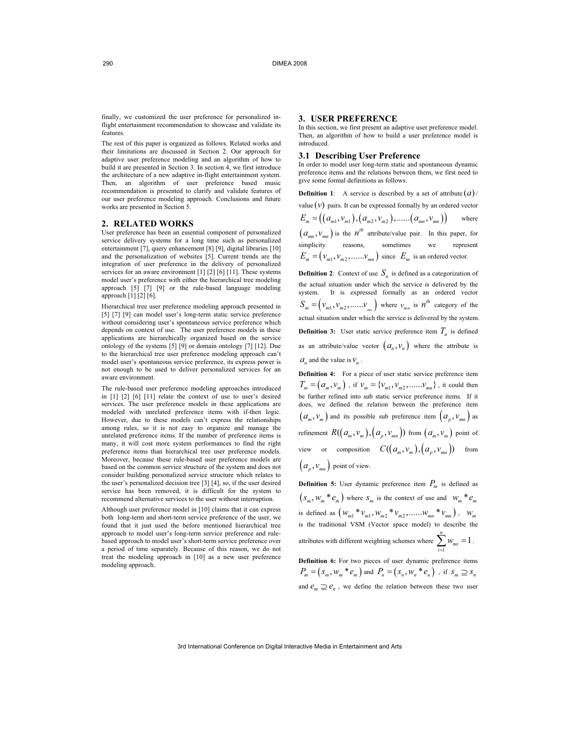finally, we customized the user preference for personalized inflight entertainment recommendation to showcase and validate its features.

The rest of this paper is organized as follows. Related works and their limitations are discussed in Section 2. Our approach for adaptive user preference modeling and an algorithm of how to build it are presented in Section 3. In section 4, we first introduce the architecture of a new adaptive in-flight entertainment system. Then, an algorithm of user preference based music recommendation is presented to clarify and validate features of our user preference modeling approach. Conclusions and future works are presented in Section 5.

#### **2. RELATED WORKS**

User preference has been an essential component of personalized service delivery systems for a long time such as personalized entertainment [7], query enhancement [8] [9], digital libraries [10] and the personalization of websites [5]. Current trends are the integration of user preference in the delivery of personalized services for an aware environment [1] [2] [6] [11]. These systems model user's preference with either the hierarchical tree modeling approach [5] [7] [9] or the rule-based language modeling approach [1] [2] [6].

Hierarchical tree user preference modeling approach presented in [5] [7] [9] can model user's long-term static service preference without considering user's spontaneous service preference which depends on context of use. The user preference models in these applications are hierarchically organized based on the service ontology of the systems [5] [9] or domain ontology [7] [12]. Due to the hierarchical tree user preference modeling approach can't model user's spontaneous service preference, its express power is not enough to be used to deliver personalized services for an aware environment.

The rule-based user preference modeling approaches introduced in [1] [2] [6] [11] relate the context of use to user's desired services. The user preference models in these applications are modeled with unrelated preference items with if-then logic. However, due to these models can't express the relationships among rules, so it is not easy to organize and manage the unrelated preference items. If the number of preference items is many, it will cost more system performances to find the right preference items than hierarchical tree user preference models. Moreover, because these rule-based user preference models are based on the common service structure of the system and does not consider building personalized service structure which relates to the user's personalized decision tree [3] [4], so, if the user desired service has been removed, it is difficult for the system to recommend alternative services to the user without interruption.

Although user preference model in [10] claims that it can express both long-term and short-term service preference of the user, we found that it just used the before mentioned hierarchical tree approach to model user's long-term service preference and rulebased approach to model user's short-term service preference over a period of time separately. Because of this reason, we do not treat the modeling approach in [10] as a new user preference modeling approach.

#### **3. USER PREFERENCE**

In this section, we first present an adaptive user preference model. Then, an algorithm of how to build a user preference model is introduced.

#### **3.1 Describing User Preference**

In order to model user long-term static and spontaneous dynamic preference items and the relations between them, we first need to give some formal definitions as follows.

**Definition 1**: A service is described by a set of attribute  $\left( a \right)$  / value  $(v)$  pairs. It can be expressed formally by an ordered vector  $E_m = ((a_{m1}, v_{m1}), (a_{m2}, v_{m2}), \dots, (a_{mn}, v_{mn}))$  where  $(a_{mn}, v_{mn})$  is the  $n^{th}$  attribute/value pair. In this paper, for simplicity reasons, sometimes we represent  $E_m = ( v_{m1}, v_{m2}, \dots, v_{mn})$  since  $E_m$  is an ordered vector.

**Definition 2**: Context of use  $S_n$  is defined as a categorization of the actual situation under which the service is delivered by the system. It is expressed formally as an ordered vector  $S_m = ( v_{m1}, v_{m2}, \dots, v_{mn})$  where  $v_{mn}$  is  $n^{th}$  category of the actual situation under which the service is delivered by the system. **Definition 3:** User static service preference item  $T<sub>n</sub>$  is defined as an attribute/value vector  $(a_n, v_n)$  where the attribute is  $a_n$  and the value is  $v_n$ .

**Definition 4:** For a piece of user static service preference item  $T_m = (a_m, v_m)$ , if  $v_m = \{v_{m1}, v_{m2}, \dots, v_{mn}\}$ , it could then be further refined into sub static service preference items. If it does, we defined the relation between the preference item  $(a_m, v_m)$  and its possible sub preference item  $(a_p, v_{mn})$  as refinement  $R((a_m, v_m), (a_n, v_m))$  from  $(a_m, v_m)$  point of view or composition  $C((a_m, v_m), (a_n, v_m))$  from  $(a_n, v_{mn})$  point of view.

**Definition 5:** User dynamic preference item  $P_m$  is defined as  $(s_m, w_m * e_m)$  where  $s_m$  is the context of use and  $w_m * e_m$ is defined as  $(w_{m1} * v_{m1}, w_{m2} * v_{m2}, \dots, w_{mn} * v_{mn})$ ,  $w_{m}$ is the traditional VSM (Vector space model) to describe the attributes with different weighting schemes where  $\sum_{i=1}^{n} w_{mi} = 1$ 1  $\sum_{m=1}^{n} w_{m} = 1$ . *i* =

**Definition 6:** For two pieces of user dynamic preference items  $P_m = ( s_m, w_m * e_m )$  and  $P_n = ( s_n, w_n * e_n )$ , if  $s_m \supseteq s_n$ and  $e_m \supseteq e_n$ , we define the relation between these two user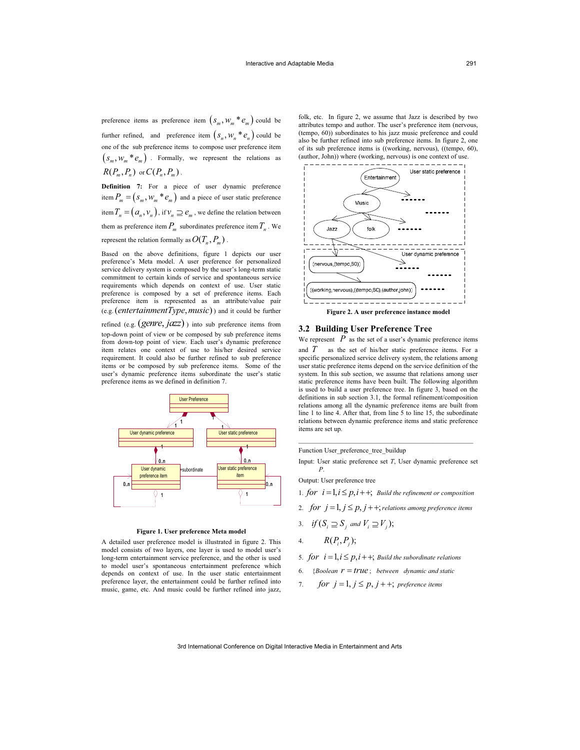preference items as preference item  $(s_m, w_m * e_m)$  could be further refined, and preference item  $(s_n, w_n * e_n)$  could be one of the sub preference items to compose user preference item  $(s_m, w_m * e_m)$ . Formally, we represent the relations as  $R(P_m, P_n)$  or  $C(P_n, P_m)$ .

**Definition 7:** For a piece of user dynamic preference item  $P_m = (s_m, w_m * e_m)$  and a piece of user static preference item  $T_n = (a_n, v_n)$ , if  $v_n \supseteq e_m$ , we define the relation between them as preference item  $P_m$  subordinates preference item  $T_n$ . We represent the relation formally as  $O(T_n, P_m)$ .

Based on the above definitions, figure 1 depicts our user preference's Meta model. A user preference for personalized service delivery system is composed by the user's long-term static commitment to certain kinds of service and spontaneous service requirements which depends on context of use. User static preference is composed by a set of preference items. Each preference item is represented as an attribute/value pair  $(e.g. (entertainmentType, music))$  and it could be further

refined (e.g. (*genre*, *jazz*)) into sub preference items from top-down point of view or be composed by sub preference items from down-top point of view. Each user's dynamic preference item relates one context of use to his/her desired service requirement. It could also be further refined to sub preference items or be composed by sub preference items. Some of the user's dynamic preference items subordinate the user's static preference items as we defined in definition 7.



#### **Figure 1. User preference Meta model**

A detailed user preference model is illustrated in figure 2. This model consists of two layers, one layer is used to model user's long-term entertainment service preference, and the other is used to model user's spontaneous entertainment preference which depends on context of use. In the user static entertainment preference layer, the entertainment could be further refined into music, game, etc. And music could be further refined into jazz,

folk, etc. In figure 2, we assume that Jazz is described by two attributes tempo and author. The user's preference item (nervous, (tempo, 60)) subordinates to his jazz music preference and could also be further refined into sub preference items. In figure 2, one of its sub preference items is ((working, nervous), ((tempo, 60), (author, John)) where (working, nervous) is one context of use.



## **3.2 Building User Preference Tree**

We represent  $P$  as the set of a user's dynamic preference items and *T* as the set of his/her static preference items. For a specific personalized service delivery system, the relations among user static preference items depend on the service definition of the system. In this sub section, we assume that relations among user static preference items have been built. The following algorithm is used to build a user preference tree. In figure 3, based on the definitions in sub section 3.1, the formal refinement/composition relations among all the dynamic preference items are built from line 1 to line 4. After that, from line 5 to line 15, the subordinate relations between dynamic preference items and static preference items are set up.

Function User\_preference\_tree\_buildup

Input: User static preference set *T*, User dynamic preference set *P*.

\_\_\_\_\_\_\_\_\_\_\_\_\_\_\_\_\_\_\_\_\_\_\_\_\_\_\_\_\_\_\_\_\_\_\_\_\_\_\_\_\_\_\_\_\_\_\_\_\_\_\_\_

Output: User preference tree

- 1. *for*  $i = 1, i \leq p, i + 1$ ; *Build the refinement or composition*
- 2. *for*  $j = 1, j \leq p, j + +$ ; *relations among preference items*
- 3. *if*  $(S_i \supseteq S_j$  and  $V_i \supseteq V_j)$ ;
- 4.  $R(P_i, P_j);$

5. *for*  $i = 1, i \leq p, i + 1$ ; *Build the subordinate relations* 

- 6. {*Boolean*  $r = true$ ; *between dynamic and static*
- 7. *for*  $j = 1, j \leq p, j++)$ ; preference items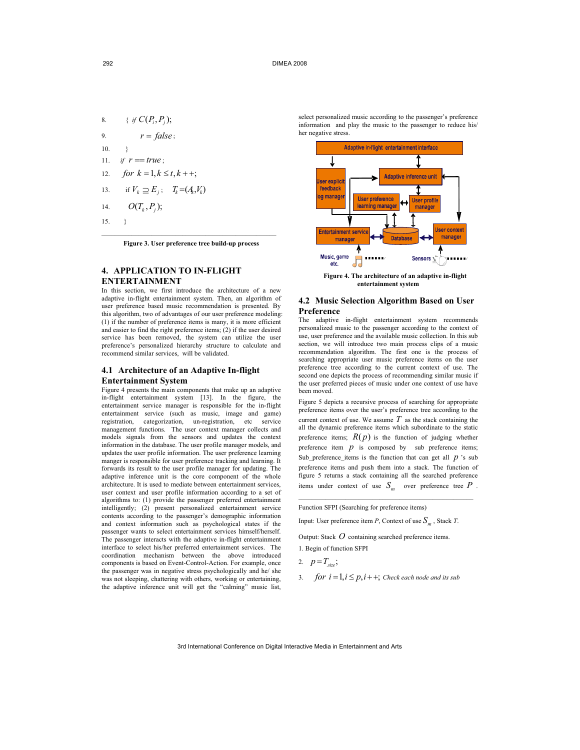- 8.  $\{ if C(P_i, P_i);$
- 9.  $r = false$ ;

 $10^{11.3}$ 

- 11. *if*  $r = true$ ;
- 12. *for*  $k = 1, k \le t, k + 1$ ;
- 13. if  $V_k \supseteq E_i$ ;  $T_k = (A_k, V_k)$

$$
14. \qquad O(T_k, P_j);
$$

15. }

\_\_\_\_\_\_\_\_\_\_\_\_\_\_\_\_\_\_\_\_\_\_\_\_\_\_\_\_\_\_\_\_\_\_\_\_\_\_\_\_\_\_\_\_\_\_\_\_\_\_\_\_ **Figure 3. User preference tree build-up process** 

## **4. APPLICATION TO IN-FLIGHT ENTERTAINMENT**

In this section, we first introduce the architecture of a new adaptive in-flight entertainment system. Then, an algorithm of user preference based music recommendation is presented. By this algorithm, two of advantages of our user preference modeling: (1) if the number of preference items is many, it is more efficient and easier to find the right preference items; (2) if the user desired service has been removed, the system can utilize the user preference's personalized hierarchy structure to calculate and recommend similar services, will be validated.

## **4.1 Architecture of an Adaptive In-flight Entertainment System**

Figure 4 presents the main components that make up an adaptive in-flight entertainment system [13]. In the figure, the entertainment service manager is responsible for the in-flight entertainment service (such as music, image and game) registration, categorization, un-registration, etc service management functions. The user context manager collects and models signals from the sensors and updates the context information in the database. The user profile manager models, and updates the user profile information. The user preference learning manger is responsible for user preference tracking and learning. It forwards its result to the user profile manager for updating. The adaptive inference unit is the core component of the whole architecture. It is used to mediate between entertainment services, user context and user profile information according to a set of algorithms to: (1) provide the passenger preferred entertainment intelligently; (2) present personalized entertainment service contents according to the passenger's demographic information and context information such as psychological states if the passenger wants to select entertainment services himself/herself. The passenger interacts with the adaptive in-flight entertainment interface to select his/her preferred entertainment services. The coordination mechanism between the above introduced components is based on Event-Control-Action. For example, once the passenger was in negative stress psychologically and he/ she was not sleeping, chattering with others, working or entertaining, the adaptive inference unit will get the "calming" music list,

select personalized music according to the passenger's preference information and play the music to the passenger to reduce his/ her negative stress.



 **Figure 4. The architecture of an adaptive in-flight entertainment system** 

## **4.2 Music Selection Algorithm Based on User Preference**

The adaptive in-flight entertainment system recommends personalized music to the passenger according to the context of use, user preference and the available music collection. In this sub section, we will introduce two main process clips of a music recommendation algorithm. The first one is the process of searching appropriate user music preference items on the user preference tree according to the current context of use. The second one depicts the process of recommending similar music if the user preferred pieces of music under one context of use have been moved.

Figure 5 depicts a recursive process of searching for appropriate preference items over the user's preference tree according to the current context of use. We assume  $T$  as the stack containing the all the dynamic preference items which subordinate to the static preference items;  $R(p)$  is the function of judging whether preference item  $p$  is composed by sub preference items; Sub preference items is the function that can get all  $p$  's sub preference items and push them into a stack. The function of figure 5 returns a stack containing all the searched preference items under context of use  $S_m$  over preference tree  $P$ .

Function SFPI (Searching for preference items)

Input: User preference item *P*, Context of use  $S_m$ , Stack *T*.

\_\_\_\_\_\_\_\_\_\_\_\_\_\_\_\_\_\_\_\_\_\_\_\_\_\_\_\_\_\_\_\_\_\_\_\_\_\_\_\_\_\_\_\_\_\_\_\_\_\_\_\_

Output: Stack *O* containing searched preference items. 1. Begin of function SFPI

2.  $p = T_{size}$ ;

3. *for*  $i = 1, i \leq p, i++$ ; *Check each node and its sub*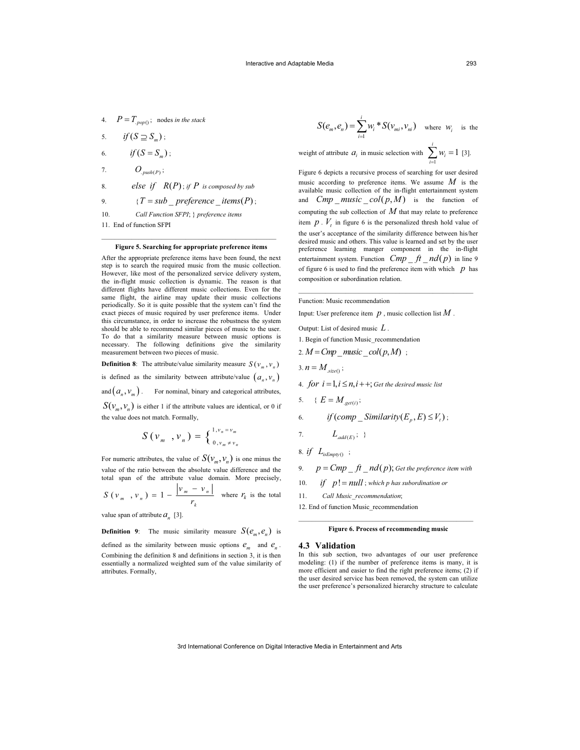- 4.  $P = T_{\text{,pop()}}$ ; nodes *in the stack*
- 5.  $if ( S \supseteq S<sub>m</sub> )$ ;
- 6.  $if (S = S<sub>n</sub>) ;$
- 7.  $O_{.push(P)}$ ;
- 8. *else if*  $R(P)$ ; *if*  $P$  *is composed by sub*

9.  ${T = sub\_ preference\_items(P)}$ ;

10. *Call Function SFPI*; } *preference items* 

11. End of function SFPI

## \_\_\_\_\_\_\_\_\_\_\_\_\_\_\_\_\_\_\_\_\_\_\_\_\_\_\_\_\_\_\_\_\_\_\_\_\_\_\_\_\_\_\_\_\_\_\_\_\_\_\_\_ **Figure 5. Searching for appropriate preference items**

After the appropriate preference items have been found, the next step is to search the required music from the music collection. However, like most of the personalized service delivery system, the in-flight music collection is dynamic. The reason is that different flights have different music collections. Even for the same flight, the airline may update their music collections periodically. So it is quite possible that the system can't find the exact pieces of music required by user preference items. Under this circumstance, in order to increase the robustness the system should be able to recommend similar pieces of music to the user. To do that a similarity measure between music options is necessary. The following definitions give the similarity measurement between two pieces of music.

**Definition 8**: The attribute/value similarity measure  $S(v_m, v_n)$ 

is defined as the similarity between attribute/value  $(a_n, v_n)$ 

and  $(a_n, v_m)$ . For nominal, binary and categorical attributes,

 $S(v_m, v_n)$  is either 1 if the attribute values are identical, or 0 if the value does not match. Formally,

$$
S(v_m, v_n) = \begin{cases}^{1, v_n = v_m} \\ 0, v_m \neq v_n \end{cases}
$$

For numeric attributes, the value of  $S(v_m, v_n)$  is one minus the value of the ratio between the absolute value difference and the total span of the attribute value domain. More precisely,

$$
S(v_m, v_n) = 1 - \frac{|v_m - v_n|}{r_k}
$$
 where  $r_k$  is the total

value span of attribute  $a_n$  [3].

**Definition 9:** The music similarity measure  $S(e_m, e_n)$  is

defined as the similarity between music options  $e_m$  and  $e_n$ . Combining the definition 8 and definitions in section 3, it is then essentially a normalized weighted sum of the value similarity of attributes. Formally,

$$
S(e_m, e_n) = \sum_{i=1}^{i} w_i * S(v_m, v_n)
$$
 where  $w_i$  is the

weight of attribute  $a_i$  in music selection with  $\sum_{i=1}^{i} w_i = 1$  [3]. 1 *i* Figure 6 depicts a recursive process of searching for user desired music according to preference items. We assume *M* is the available music collection of the in-flight entertainment system and *Cmp music col*( $p, M$ ) is the function of computing the sub collection of *M* that may relate to preference item  $p \cdot V_t$  in figure 6 is the personalized thresh hold value of the user's acceptance of the similarity difference between his/her

desired music and others. This value is learned and set by the user preference learning manger component in the in-flight entertainment system. Function  $\emph{Cmp\_ft\_nd(p)}$  in line 9 of figure 6 is used to find the preference item with which  $p$  has composition or subordination relation.

\_\_\_\_\_\_\_\_\_\_\_\_\_\_\_\_\_\_\_\_\_\_\_\_\_\_\_\_\_\_\_\_\_\_\_\_\_\_\_\_\_\_\_\_\_\_\_\_\_\_\_\_

Function: Music recommendation

Input: User preference item  $p$ , music collection list  $M$ .

Output: List of desired music *L* .

1. Begin of function Music\_recommendation

$$
2. M = Cmp\_music\_col(p, M) ;
$$

$$
3. n = M_{size(}
$$

4. *for*  $i = 1, i \leq n, i + +$ ; *Get the desired music list* 

$$
5. \qquad \{ E = M_{\underline{\text{get}(i)}} ;
$$

6. if (comp 
$$
\_
$$
 Similarity $(E_p, E) \leq V_t$ );

7. 
$$
L_{add(E)}; \}
$$

8. if 
$$
L_{isEmpty()
$$
;

9. 
$$
p = Cmp - ft - nd(p)
$$
; Get the preference item with

10. *if*  $p! = null$ ; which p has subordination or

11. *Call Music\_recommendation*;

12. End of function Music\_recommendation

## \_\_\_\_\_\_\_\_\_\_\_\_\_\_\_\_\_\_\_\_\_\_\_\_\_\_\_\_\_\_\_\_\_\_\_\_\_\_\_\_\_\_\_\_\_\_\_\_\_\_\_\_ **Figure 6. Process of recommending music**

## **4.3 Validation**

In this sub section, two advantages of our user preference modeling: (1) if the number of preference items is many, it is more efficient and easier to find the right preference items; (2) if the user desired service has been removed, the system can utilize the user preference's personalized hierarchy structure to calculate